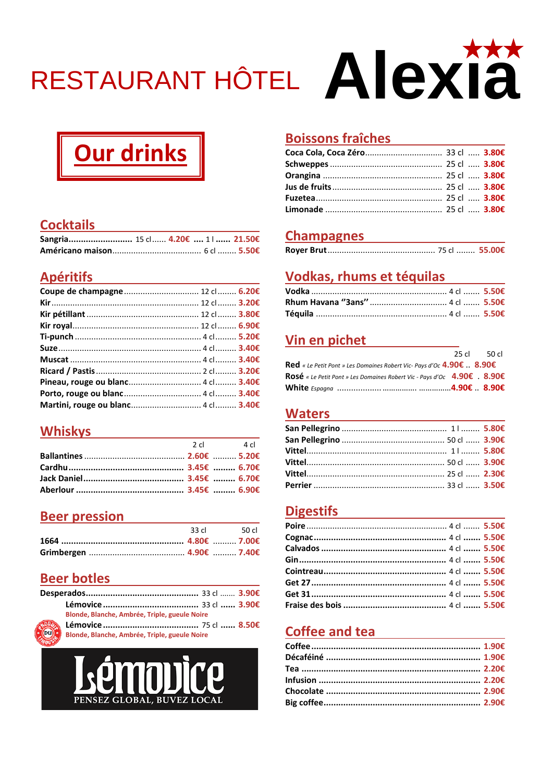# RESTAURANT HÔTEL AIEXIA

# Our drinks

### **Cocktails**

| Sangria 15 cl  4.20€  11 21.50€ |  |  |
|---------------------------------|--|--|
|                                 |  |  |

### **Apéritifs Apéritifs**

| Coupe de champagne 12 cl  6.20€ |  |
|---------------------------------|--|
|                                 |  |
|                                 |  |
|                                 |  |
|                                 |  |
|                                 |  |
|                                 |  |
|                                 |  |
|                                 |  |
|                                 |  |
|                                 |  |

#### **Whiskys**

| $2 \,$ cl $4 \,$ cl |
|---------------------|
|                     |
|                     |
|                     |
|                     |
|                     |

### **Beer pression**

|  | 33 cl 50 cl |
|--|-------------|
|  |             |
|  |             |

#### **Beer botles**

| Blonde, Blanche, Ambrée, Triple, gueule Noire |  |
|-----------------------------------------------|--|
|                                               |  |
| Blonde, Blanche, Ambrée, Triple, gueule Noire |  |
| <b>PUIDDICE</b><br>PENSEZ GLOBAL, BUVEZ LOCAL |  |



#### **Champagnes Champagnes**

### **Vodkas, rhums et téquilas**

| Vodka ………………………………………………… 4 cl ……. 5.50€  |  |
|-------------------------------------------|--|
|                                           |  |
| Téquila ……………………………………………… 4 cl ……. 5.50€ |  |

### **Vin en pichet and view of the set of the set of the set of the set of the set of the set of the set of the set of the set of the set of the set of the set of the set of the set of the set of the set of the set of the set**

|                                                                                 | 25 cl 50 cl |
|---------------------------------------------------------------------------------|-------------|
| <b>Red</b> « Le Petit Pont » Les Domaines Robert Vic- Pays d'Oc $4.90€$ . 8.90€ |             |
| Rosé « Le Petit Pont » Les Domaines Robert Vic - Pays d'Oc 4.90€ 8.90€          |             |
|                                                                                 |             |

#### **Waters**

| Vittel………………………………………………… 1  ……… 5.80€ |
|----------------------------------------|

### **Digestifs Digestifs**

### Coffee and tea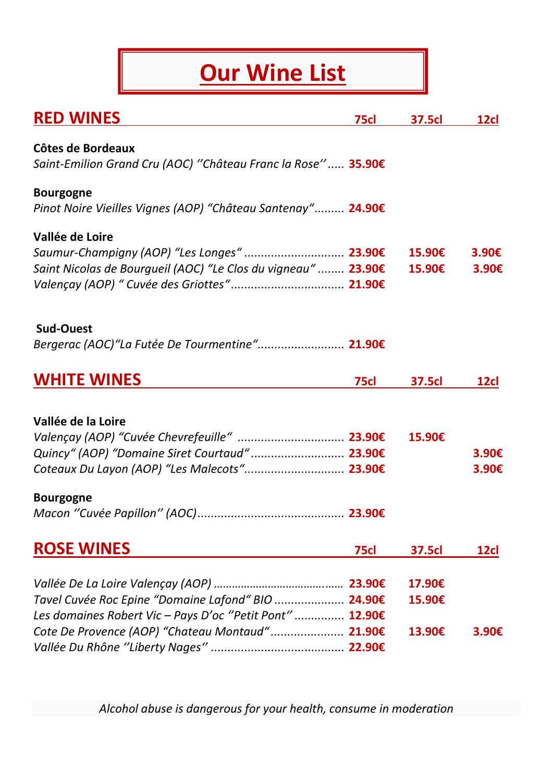## **Our Wine List**

| <b>RED WINES</b>                                                                               | 75cl        | <b>37.5cl</b> | <b>12cl</b> |
|------------------------------------------------------------------------------------------------|-------------|---------------|-------------|
| Côtes de Bordeaux<br>Saint-Emilion Grand Cru (AOC) "Château Franc la Rose" 35.90€              |             |               |             |
| <b>Bourgogne</b><br>Pinot Noire Vieilles Vignes (AOP) "Château Santenay" 24.90€                |             |               |             |
| Vallée de Loire<br>Saumur-Champigny (AOP) "Les Longes"  23.90€                                 |             | 15.90€        | 3.90€       |
| Saint Nicolas de Bourgueil (AOC) "Le Clos du vigneau"  23.90€                                  |             | 15.90€        | 3.90€       |
| <b>Sud-Ouest</b><br>Bergerac (AOC)"La Futée De Tourmentine" 21.90€                             |             |               |             |
| <b>WHITE WINES</b>                                                                             | 75cl        | <b>37.5cl</b> | 12cl        |
| Vallée de la Loire                                                                             |             |               |             |
| Valençay (AOP) "Cuvée Chevrefeuille"  23.90€<br>Quincy" (AOP) "Domaine Siret Courtaud"  23.90€ |             | 15.90€        | 3.90€       |
| Coteaux Du Layon (AOP) "Les Malecots" 23.90€                                                   |             |               | 3.90€       |
| <b>Bourgogne</b>                                                                               |             |               |             |
| <b>ROSE WINES</b>                                                                              | <b>75cl</b> | <b>37.5cl</b> | 12cl        |
|                                                                                                |             | 17.90€        |             |
| Tavel Cuvée Roc Epine "Domaine Lafond" BIO  24.90€                                             |             | 15.90€        |             |
| Les domaines Robert Vic - Pays D'oc "Petit Pont"  12.90€                                       |             |               |             |
| Cote De Provence (AOP) "Chateau Montaud" 21.90€                                                |             | 13.90€        | 3.90€       |
|                                                                                                |             |               |             |

*Alcohol abuse is dangerous for your health, consume in moderation*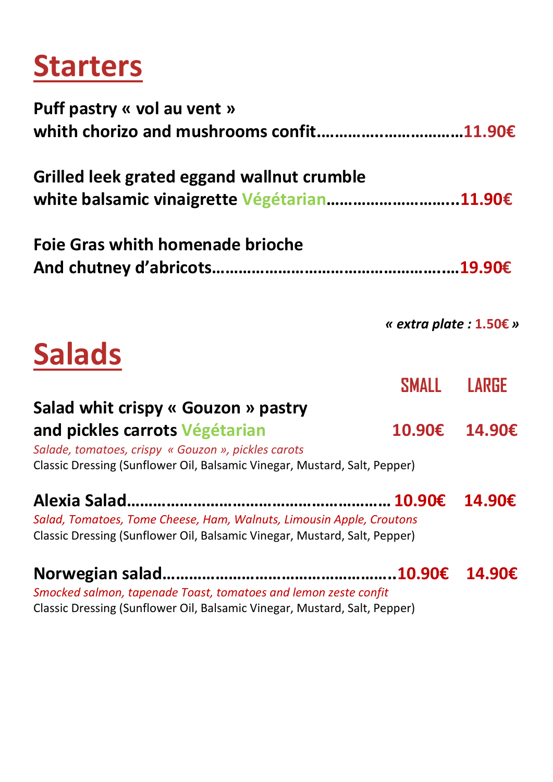# **Starters**

| Puff pastry « vol au vent »                                                                                                           |                                   |        |
|---------------------------------------------------------------------------------------------------------------------------------------|-----------------------------------|--------|
| whith chorizo and mushrooms confit11.90€<br>Grilled leek grated eggand wallnut crumble<br>white balsamic vinaigrette Végétarian11.90€ |                                   |        |
|                                                                                                                                       |                                   |        |
|                                                                                                                                       |                                   |        |
|                                                                                                                                       | « extra plate : $1.50 \epsilon$ » |        |
| <b>Salads</b>                                                                                                                         |                                   |        |
|                                                                                                                                       | SMALL LARGE                       |        |
| Salad whit crispy « Gouzon » pastry                                                                                                   |                                   |        |
| and pickles carrots Végétarian                                                                                                        | 10.90€ 14.90€                     |        |
| Salade, tomatoes, crispy « Gouzon », pickles carots                                                                                   |                                   |        |
| Classic Dressing (Sunflower Oil, Balsamic Vinegar, Mustard, Salt, Pepper)                                                             |                                   |        |
|                                                                                                                                       |                                   |        |
| Salad, Tomatoes, Tome Cheese, Ham, Walnuts, Limousin Apple, Croutons                                                                  |                                   |        |
| Classic Dressing (Sunflower Oil, Balsamic Vinegar, Mustard, Salt, Pepper)                                                             |                                   |        |
|                                                                                                                                       | .10.90€                           | 14.90€ |
| Smocked salmon, tapenade Toast, tomatoes and lemon zeste confit                                                                       |                                   |        |
| Classic Dressing (Sunflower Oil, Balsamic Vinegar, Mustard, Salt, Pepper)                                                             |                                   |        |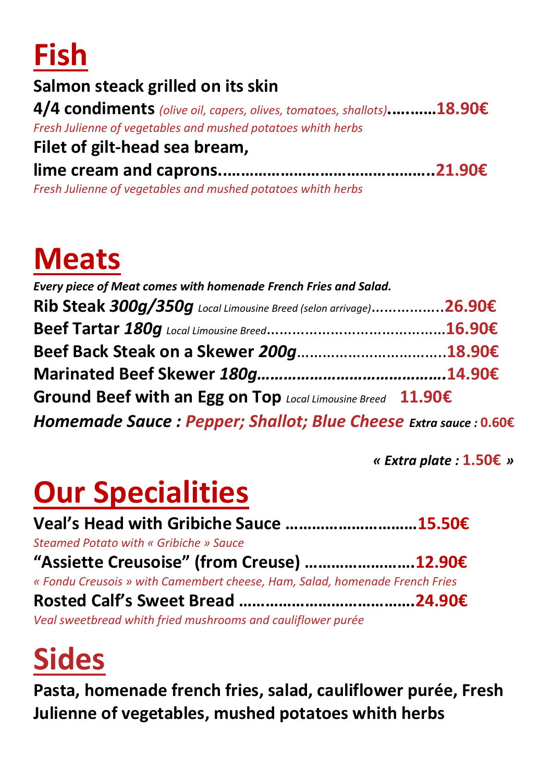

### **Salmon steack grilled on its skin**

**4/4 condiments** *(olive oil, capers, olives, tomatoes, shallots)***.….……18.90€** *Fresh Julienne of vegetables and mushed potatoes whith herbs*

### **Filet of gilt-head sea bream,**

**lime cream and caprons..………………………………………..21.90€** *Fresh Julienne of vegetables and mushed potatoes whith herbs*

# **Meats**

| Every piece of Meat comes with homenade French Fries and Salad.  |  |
|------------------------------------------------------------------|--|
| Rib Steak 300g/350g Local Limousine Breed (selon arrivage)26.90€ |  |
|                                                                  |  |
|                                                                  |  |
|                                                                  |  |
| Ground Beef with an Egg on Top Local Limousine Breed 11.90€      |  |
| Homemade Sauce: Pepper; Shallot; Blue Cheese Extra sauce : 0.60€ |  |

*« Extra plate :* **1.50€** *»*

# **Our Specialities**

**Veal's Head with Gribiche Sauce …………………………15.50€** *Steamed Potato with « Gribiche » Sauce* **"Assiette Creusoise" (from Creuse) …………………….12.90€** *« Fondu Creusois » with Camembert cheese, Ham, Salad, homenade French Fries* **Rosted Calf's Sweet Bread ………………………………….24.90€** *Veal sweetbread whith fried mushrooms and cauliflower purée*

# **Sides**

**Pasta, homenade french fries, salad, cauliflower purée, Fresh Julienne of vegetables, mushed potatoes whith herbs**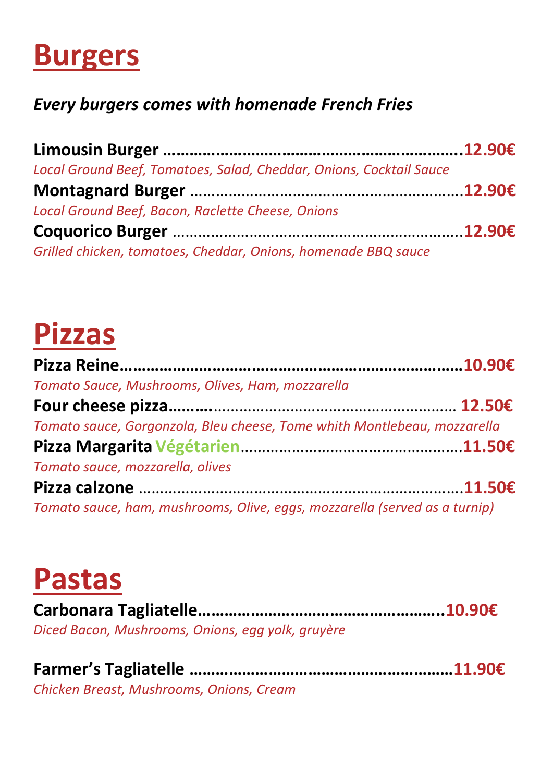# **Burgers**

### *Every burgers comes with homenade French Fries*

| Local Ground Beef, Tomatoes, Salad, Cheddar, Onions, Cocktail Sauce |  |
|---------------------------------------------------------------------|--|
|                                                                     |  |
| Local Ground Beef, Bacon, Raclette Cheese, Onions                   |  |
|                                                                     |  |
| Grilled chicken, tomatoes, Cheddar, Onions, homenade BBQ sauce      |  |

# **Pizzas**

| Tomato Sauce, Mushrooms, Olives, Ham, mozzarella                           |  |
|----------------------------------------------------------------------------|--|
|                                                                            |  |
| Tomato sauce, Gorgonzola, Bleu cheese, Tome whith Montlebeau, mozzarella   |  |
|                                                                            |  |
| Tomato sauce, mozzarella, olives                                           |  |
|                                                                            |  |
| Tomato sauce, ham, mushrooms, Olive, eggs, mozzarella (served as a turnip) |  |

# **Pastas**

**Carbonara Tagliatelle………………………………………………..10.90€** *Diced Bacon, Mushrooms, Onions, egg yolk, gruyère* 

| Chicken Breast, Mushrooms, Onions, Cream |  |
|------------------------------------------|--|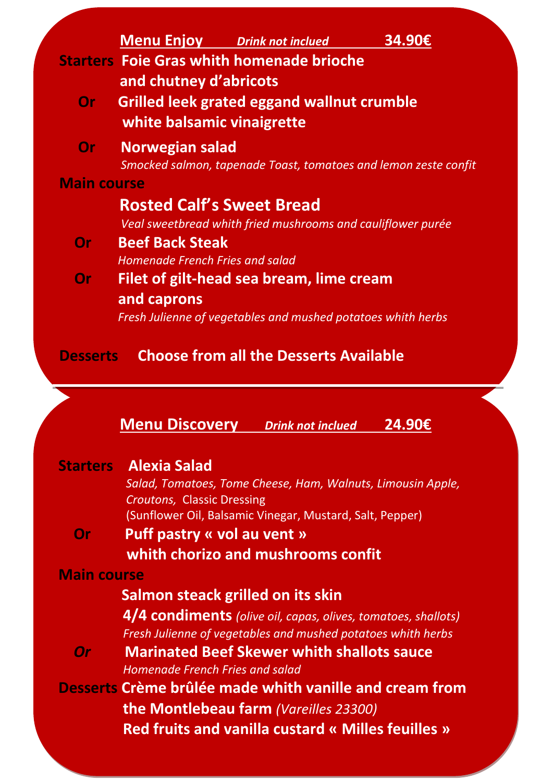| <b>Starters Foie Gras whith homenade brioche</b><br>and chutney d'abricots<br><b>Or</b> Grilled leek grated eggand wallnut crumble<br>white balsamic vinaigrette<br>Smocked salmon, tapenade Toast, tomatoes and lemon zeste confit<br><b>Rosted Calf's Sweet Bread</b><br>Veal sweetbread whith fried mushrooms and cauliflower purée |
|----------------------------------------------------------------------------------------------------------------------------------------------------------------------------------------------------------------------------------------------------------------------------------------------------------------------------------------|
|                                                                                                                                                                                                                                                                                                                                        |
|                                                                                                                                                                                                                                                                                                                                        |
|                                                                                                                                                                                                                                                                                                                                        |
|                                                                                                                                                                                                                                                                                                                                        |
|                                                                                                                                                                                                                                                                                                                                        |
|                                                                                                                                                                                                                                                                                                                                        |
|                                                                                                                                                                                                                                                                                                                                        |
|                                                                                                                                                                                                                                                                                                                                        |
|                                                                                                                                                                                                                                                                                                                                        |
|                                                                                                                                                                                                                                                                                                                                        |
| <b>Homenade French Fries and salad</b>                                                                                                                                                                                                                                                                                                 |
| Filet of gilt-head sea bream, lime cream                                                                                                                                                                                                                                                                                               |
|                                                                                                                                                                                                                                                                                                                                        |
| Fresh Julienne of vegetables and mushed potatoes whith herbs                                                                                                                                                                                                                                                                           |
| <b>Choose from all the Desserts Available</b>                                                                                                                                                                                                                                                                                          |
|                                                                                                                                                                                                                                                                                                                                        |
|                                                                                                                                                                                                                                                                                                                                        |

|                    | <b>Starters Alexia Salad</b><br>Salad, Tomatoes, Tome Cheese, Ham, Walnuts, Limousin Apple,                                   |
|--------------------|-------------------------------------------------------------------------------------------------------------------------------|
|                    | <b>Croutons, Classic Dressing</b><br>(Sunflower Oil, Balsamic Vinegar, Mustard, Salt, Pepper)                                 |
| Or                 | Puff pastry « vol au vent »                                                                                                   |
|                    | whith chorizo and mushrooms confit                                                                                            |
| <b>Main course</b> |                                                                                                                               |
|                    | Salmon steack grilled on its skin                                                                                             |
|                    | 4/4 condiments (olive oil, capas, olives, tomatoes, shallots)<br>Fresh Julienne of vegetables and mushed potatoes whith herbs |
| <b>Or</b>          | <b>Marinated Beef Skewer whith shallots sauce</b><br><b>Homenade French Fries and salad</b>                                   |
|                    | Desserts Crème brûlée made whith vanille and cream from                                                                       |
|                    | <b>the Montlebeau farm</b> (Vareilles 23300)                                                                                  |
|                    | <b>Red fruits and vanilla custard « Milles feuilles »</b>                                                                     |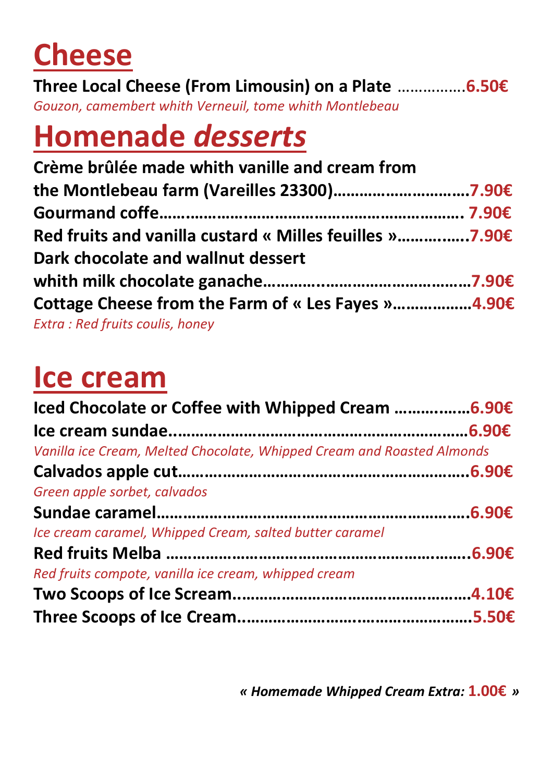# **Cheese**

**Three Local Cheese (From Limousin) on a Plate** …………….**6.50€** *Gouzon, camembert whith Verneuil, tome whith Montlebeau* 

# **Homenade** *desserts*

| Crème brûlée made whith vanille and cream from          |  |
|---------------------------------------------------------|--|
| the Montlebeau farm (Vareilles 23300)7.90€              |  |
|                                                         |  |
| Red fruits and vanilla custard « Milles feuilles »7.90€ |  |
| Dark chocolate and wallnut dessert                      |  |
|                                                         |  |
| Cottage Cheese from the Farm of « Les Fayes »4.90€      |  |
| Extra: Red fruits coulis, honey                         |  |

# **Ice cream**

| Iced Chocolate or Coffee with Whipped Cream 6.90€                      |  |
|------------------------------------------------------------------------|--|
|                                                                        |  |
| Vanilla ice Cream, Melted Chocolate, Whipped Cream and Roasted Almonds |  |
|                                                                        |  |
| Green apple sorbet, calvados                                           |  |
|                                                                        |  |
| Ice cream caramel, Whipped Cream, salted butter caramel                |  |
|                                                                        |  |
| Red fruits compote, vanilla ice cream, whipped cream                   |  |
|                                                                        |  |
|                                                                        |  |